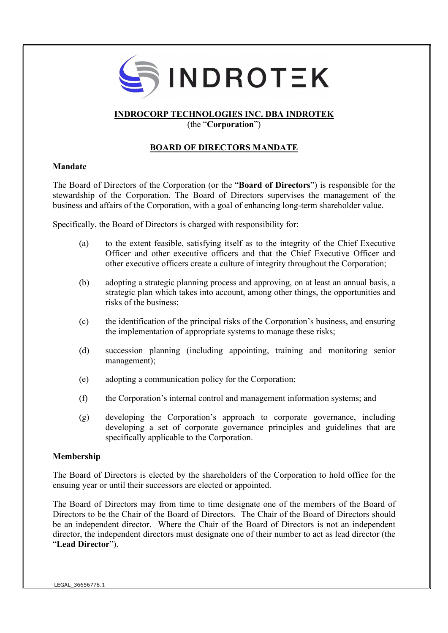

## INDROCORP TECHNOLOGIES INC. DBA INDROTEK

(the "Corporation")

## BOARD OF DIRECTORS MANDATE

## Mandate

The Board of Directors of the Corporation (or the "Board of Directors") is responsible for the stewardship of the Corporation. The Board of Directors supervises the management of the business and affairs of the Corporation, with a goal of enhancing long-term shareholder value.

Specifically, the Board of Directors is charged with responsibility for:

- (a) to the extent feasible, satisfying itself as to the integrity of the Chief Executive Officer and other executive officers and that the Chief Executive Officer and other executive officers create a culture of integrity throughout the Corporation;
- (b) adopting a strategic planning process and approving, on at least an annual basis, a strategic plan which takes into account, among other things, the opportunities and risks of the business;
- (c) the identification of the principal risks of the Corporation's business, and ensuring the implementation of appropriate systems to manage these risks;
- (d) succession planning (including appointing, training and monitoring senior management);
- (e) adopting a communication policy for the Corporation;
- (f) the Corporation's internal control and management information systems; and
- (g) developing the Corporation's approach to corporate governance, including developing a set of corporate governance principles and guidelines that are specifically applicable to the Corporation.

## Membership

The Board of Directors is elected by the shareholders of the Corporation to hold office for the ensuing year or until their successors are elected or appointed.

The Board of Directors may from time to time designate one of the members of the Board of Directors to be the Chair of the Board of Directors. The Chair of the Board of Directors should be an independent director. Where the Chair of the Board of Directors is not an independent director, the independent directors must designate one of their number to act as lead director (the "Lead Director").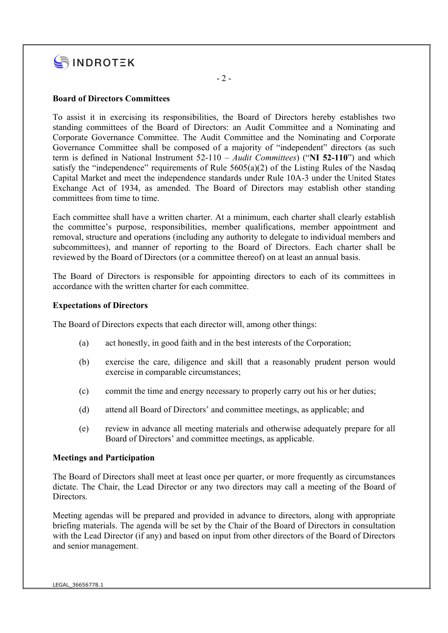

## Board of Directors Committees

To assist it in exercising its responsibilities, the Board of Directors hereby establishes two standing committees of the Board of Directors: an Audit Committee and a Nominating and Corporate Governance Committee. The Audit Committee and the Nominating and Corporate Governance Committee shall be composed of a majority of "independent" directors (as such term is defined in National Instrument  $52-110 - \text{Audit}$  Committees) ("NI 52-110") and which satisfy the "independence" requirements of Rule  $5605(a)(2)$  of the Listing Rules of the Nasdaq Capital Market and meet the independence standards under Rule 10A-3 under the United States Exchange Act of 1934, as amended. The Board of Directors may establish other standing committees from time to time.

Each committee shall have a written charter. At a minimum, each charter shall clearly establish the committee's purpose, responsibilities, member qualifications, member appointment and removal, structure and operations (including any authority to delegate to individual members and subcommittees), and manner of reporting to the Board of Directors. Each charter shall be reviewed by the Board of Directors (or a committee thereof) on at least an annual basis.

The Board of Directors is responsible for appointing directors to each of its committees in accordance with the written charter for each committee.

#### Expectations of Directors

The Board of Directors expects that each director will, among other things:

- (a) act honestly, in good faith and in the best interests of the Corporation;
- (b) exercise the care, diligence and skill that a reasonably prudent person would exercise in comparable circumstances;
- (c) commit the time and energy necessary to properly carry out his or her duties;
- (d) attend all Board of Directors' and committee meetings, as applicable; and
- (e) review in advance all meeting materials and otherwise adequately prepare for all Board of Directors' and committee meetings, as applicable.

#### Meetings and Participation

The Board of Directors shall meet at least once per quarter, or more frequently as circumstances dictate. The Chair, the Lead Director or any two directors may call a meeting of the Board of Directors.

Meeting agendas will be prepared and provided in advance to directors, along with appropriate briefing materials. The agenda will be set by the Chair of the Board of Directors in consultation with the Lead Director (if any) and based on input from other directors of the Board of Directors and senior management.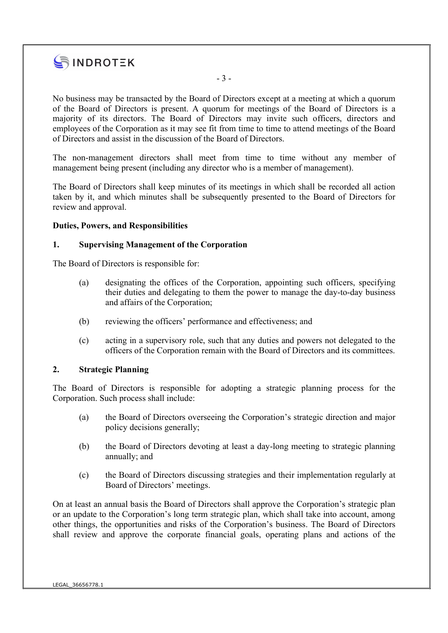

No business may be transacted by the Board of Directors except at a meeting at which a quorum of the Board of Directors is present. A quorum for meetings of the Board of Directors is a majority of its directors. The Board of Directors may invite such officers, directors and employees of the Corporation as it may see fit from time to time to attend meetings of the Board of Directors and assist in the discussion of the Board of Directors.

- 3 -

The non-management directors shall meet from time to time without any member of management being present (including any director who is a member of management).

The Board of Directors shall keep minutes of its meetings in which shall be recorded all action taken by it, and which minutes shall be subsequently presented to the Board of Directors for review and approval.

## Duties, Powers, and Responsibilities

#### 1. Supervising Management of the Corporation

The Board of Directors is responsible for:

- (a) designating the offices of the Corporation, appointing such officers, specifying their duties and delegating to them the power to manage the day-to-day business and affairs of the Corporation;
- (b) reviewing the officers' performance and effectiveness; and
- (c) acting in a supervisory role, such that any duties and powers not delegated to the officers of the Corporation remain with the Board of Directors and its committees.

#### 2. Strategic Planning

The Board of Directors is responsible for adopting a strategic planning process for the Corporation. Such process shall include:

- (a) the Board of Directors overseeing the Corporation's strategic direction and major policy decisions generally;
- (b) the Board of Directors devoting at least a day-long meeting to strategic planning annually; and
- (c) the Board of Directors discussing strategies and their implementation regularly at Board of Directors' meetings.

On at least an annual basis the Board of Directors shall approve the Corporation's strategic plan or an update to the Corporation's long term strategic plan, which shall take into account, among other things, the opportunities and risks of the Corporation's business. The Board of Directors shall review and approve the corporate financial goals, operating plans and actions of the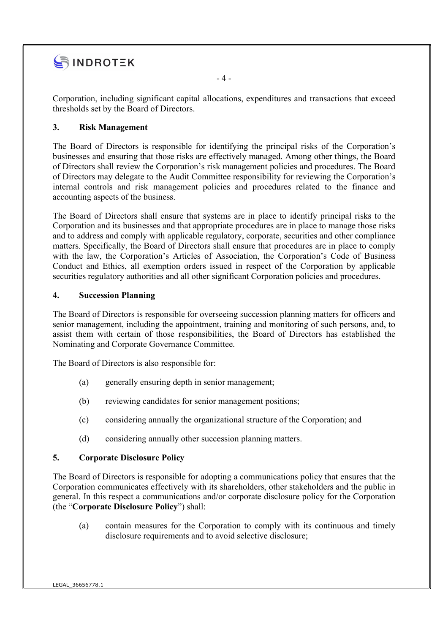

Corporation, including significant capital allocations, expenditures and transactions that exceed thresholds set by the Board of Directors.

## 3. Risk Management

The Board of Directors is responsible for identifying the principal risks of the Corporation's businesses and ensuring that those risks are effectively managed. Among other things, the Board of Directors shall review the Corporation's risk management policies and procedures. The Board of Directors may delegate to the Audit Committee responsibility for reviewing the Corporation's internal controls and risk management policies and procedures related to the finance and accounting aspects of the business.

The Board of Directors shall ensure that systems are in place to identify principal risks to the Corporation and its businesses and that appropriate procedures are in place to manage those risks and to address and comply with applicable regulatory, corporate, securities and other compliance matters. Specifically, the Board of Directors shall ensure that procedures are in place to comply with the law, the Corporation's Articles of Association, the Corporation's Code of Business Conduct and Ethics, all exemption orders issued in respect of the Corporation by applicable securities regulatory authorities and all other significant Corporation policies and procedures.

## 4. Succession Planning

The Board of Directors is responsible for overseeing succession planning matters for officers and senior management, including the appointment, training and monitoring of such persons, and, to assist them with certain of those responsibilities, the Board of Directors has established the Nominating and Corporate Governance Committee.

The Board of Directors is also responsible for:

- (a) generally ensuring depth in senior management;
- (b) reviewing candidates for senior management positions;
- (c) considering annually the organizational structure of the Corporation; and
- (d) considering annually other succession planning matters.

## 5. Corporate Disclosure Policy

The Board of Directors is responsible for adopting a communications policy that ensures that the Corporation communicates effectively with its shareholders, other stakeholders and the public in general. In this respect a communications and/or corporate disclosure policy for the Corporation (the "Corporate Disclosure Policy") shall:

(a) contain measures for the Corporation to comply with its continuous and timely disclosure requirements and to avoid selective disclosure;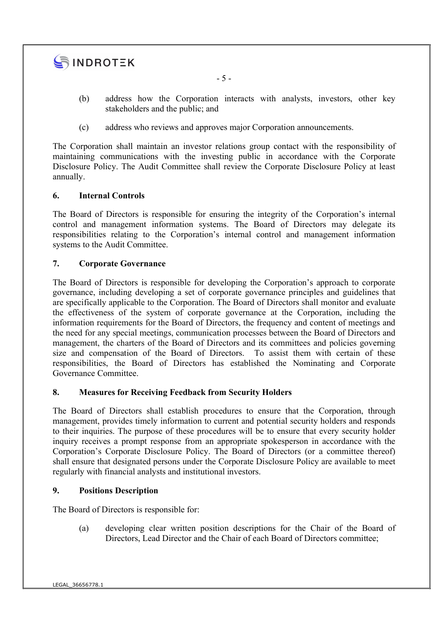

- 5 -

- (b) address how the Corporation interacts with analysts, investors, other key stakeholders and the public; and
- (c) address who reviews and approves major Corporation announcements.

The Corporation shall maintain an investor relations group contact with the responsibility of maintaining communications with the investing public in accordance with the Corporate Disclosure Policy. The Audit Committee shall review the Corporate Disclosure Policy at least annually.

## 6. Internal Controls

The Board of Directors is responsible for ensuring the integrity of the Corporation's internal control and management information systems. The Board of Directors may delegate its responsibilities relating to the Corporation's internal control and management information systems to the Audit Committee.

## 7. Corporate Governance

The Board of Directors is responsible for developing the Corporation's approach to corporate governance, including developing a set of corporate governance principles and guidelines that are specifically applicable to the Corporation. The Board of Directors shall monitor and evaluate the effectiveness of the system of corporate governance at the Corporation, including the information requirements for the Board of Directors, the frequency and content of meetings and the need for any special meetings, communication processes between the Board of Directors and management, the charters of the Board of Directors and its committees and policies governing size and compensation of the Board of Directors. To assist them with certain of these responsibilities, the Board of Directors has established the Nominating and Corporate Governance Committee.

## 8. Measures for Receiving Feedback from Security Holders

The Board of Directors shall establish procedures to ensure that the Corporation, through management, provides timely information to current and potential security holders and responds to their inquiries. The purpose of these procedures will be to ensure that every security holder inquiry receives a prompt response from an appropriate spokesperson in accordance with the Corporation's Corporate Disclosure Policy. The Board of Directors (or a committee thereof) shall ensure that designated persons under the Corporate Disclosure Policy are available to meet regularly with financial analysts and institutional investors.

## 9. Positions Description

The Board of Directors is responsible for:

(a) developing clear written position descriptions for the Chair of the Board of Directors, Lead Director and the Chair of each Board of Directors committee;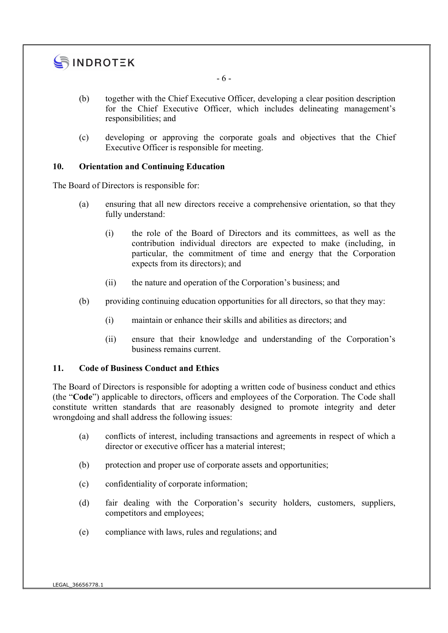

- 6 -

- (b) together with the Chief Executive Officer, developing a clear position description for the Chief Executive Officer, which includes delineating management's responsibilities; and
- (c) developing or approving the corporate goals and objectives that the Chief Executive Officer is responsible for meeting.

## 10. Orientation and Continuing Education

The Board of Directors is responsible for:

- (a) ensuring that all new directors receive a comprehensive orientation, so that they fully understand:
	- (i) the role of the Board of Directors and its committees, as well as the contribution individual directors are expected to make (including, in particular, the commitment of time and energy that the Corporation expects from its directors); and
	- (ii) the nature and operation of the Corporation's business; and
- (b) providing continuing education opportunities for all directors, so that they may:
	- (i) maintain or enhance their skills and abilities as directors; and
	- (ii) ensure that their knowledge and understanding of the Corporation's business remains current.

## 11. Code of Business Conduct and Ethics

The Board of Directors is responsible for adopting a written code of business conduct and ethics (the "Code") applicable to directors, officers and employees of the Corporation. The Code shall constitute written standards that are reasonably designed to promote integrity and deter wrongdoing and shall address the following issues:

- (a) conflicts of interest, including transactions and agreements in respect of which a director or executive officer has a material interest;
- (b) protection and proper use of corporate assets and opportunities;
- (c) confidentiality of corporate information;
- (d) fair dealing with the Corporation's security holders, customers, suppliers, competitors and employees;
- (e) compliance with laws, rules and regulations; and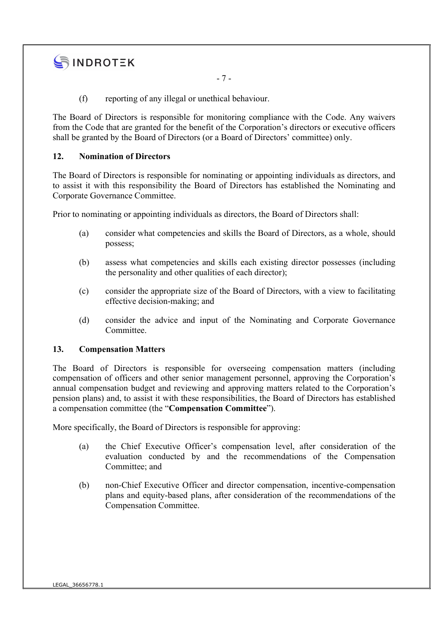## SINDROTEK

- 7 -

(f) reporting of any illegal or unethical behaviour.

The Board of Directors is responsible for monitoring compliance with the Code. Any waivers from the Code that are granted for the benefit of the Corporation's directors or executive officers shall be granted by the Board of Directors (or a Board of Directors' committee) only.

## 12. Nomination of Directors

The Board of Directors is responsible for nominating or appointing individuals as directors, and to assist it with this responsibility the Board of Directors has established the Nominating and Corporate Governance Committee.

Prior to nominating or appointing individuals as directors, the Board of Directors shall:

- (a) consider what competencies and skills the Board of Directors, as a whole, should possess;
- (b) assess what competencies and skills each existing director possesses (including the personality and other qualities of each director);
- (c) consider the appropriate size of the Board of Directors, with a view to facilitating effective decision-making; and
- (d) consider the advice and input of the Nominating and Corporate Governance Committee.

## 13. Compensation Matters

The Board of Directors is responsible for overseeing compensation matters (including compensation of officers and other senior management personnel, approving the Corporation's annual compensation budget and reviewing and approving matters related to the Corporation's pension plans) and, to assist it with these responsibilities, the Board of Directors has established a compensation committee (the "Compensation Committee").

More specifically, the Board of Directors is responsible for approving:

- (a) the Chief Executive Officer's compensation level, after consideration of the evaluation conducted by and the recommendations of the Compensation Committee; and
- (b) non-Chief Executive Officer and director compensation, incentive-compensation plans and equity-based plans, after consideration of the recommendations of the Compensation Committee.